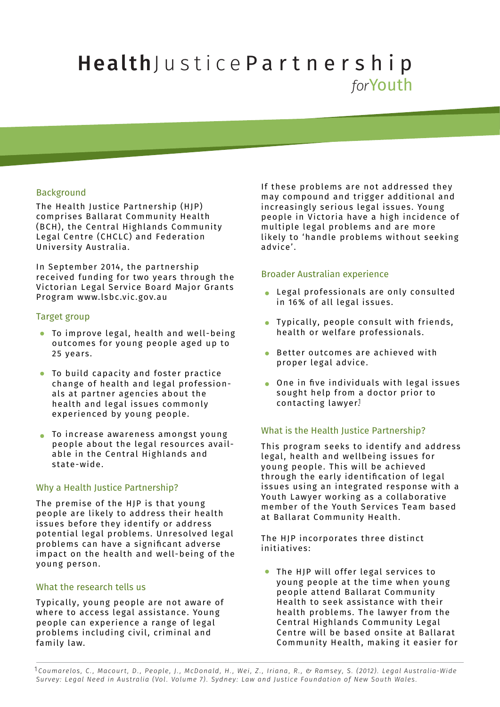# HealthJustice Partnership *for*Youth

# Background

The Health Justice Partnership (HJP) comprises Ballarat Community Health (BCH), the Central Highlands Community Legal Centre (CHCLC) and Federation University Australia.

In September 2014, the partnership received funding for two years through the Victorian Legal Service Board Major Grants Program www.lsbc.vic.gov.au

#### Target group

- To improve legal, health and well-being outcomes for young people aged up to 25 years.
- To build capacity and foster practice  $\bullet$ change of health and legal professionals at partner agencies about the health and legal issues commonly experienced by young people.
- To increase awareness amongst young people about the legal resources available in the Central Highlands and state-wide.

# Why a Health Justice Partnership?

The premise of the HJP is that young people are likely to address their health issues before they identify or address potential legal problems. Unresolved legal problems can have a signicant adverse impact on the health and well-being of the young person.

# What the research tells us

Typically, young people are not aware of where to access legal assistance. Young people can experience a range of legal problems including civil, criminal and family law.

If these problems are not addressed they may compound and trigger additional and increasingly serious legal issues. Young people in Victoria have a high incidence of multiple legal problems and are more likely to 'handle problems without seeking advice'.

#### Broader Australian experience

- Legal professionals are only consulted in 16% of all legal issues.
- Typically, people consult with friends, health or welfare professionals.
- Better outcomes are achieved with proper legal advice.
- $\bullet$  One in five individuals with legal issues sought help from a doctor prior to contacting lawyer. 1

# What is the Health Justice Partnership?

This program seeks to identify and address legal, health and wellbeing issues for young people. This will be achieved through the early identification of legal issues using an integrated response with a Youth Lawyer working as a collaborative member of the Youth Services Team based at Ballarat Community Health.

The HJP incorporates three distinct initiatives:

The HJP will offer legal services to young people at the time when young people attend Ballarat Community Health to seek assistance with their health problems. The lawyer from the Central Highlands Community Legal Centre will be based onsite at Ballarat Community Health, making it easier for

<sup>1</sup>Coumarelos, C., Macourt, D., People, J., McDonald, H., Wei, Z., Iriana, R., & Ramsey, S. (2012). Legal Australia-Wide *Survey: Legal Need in Australia (Vol. Volume 7). Sydney: Law and Justice Foundation of New South Wales.*